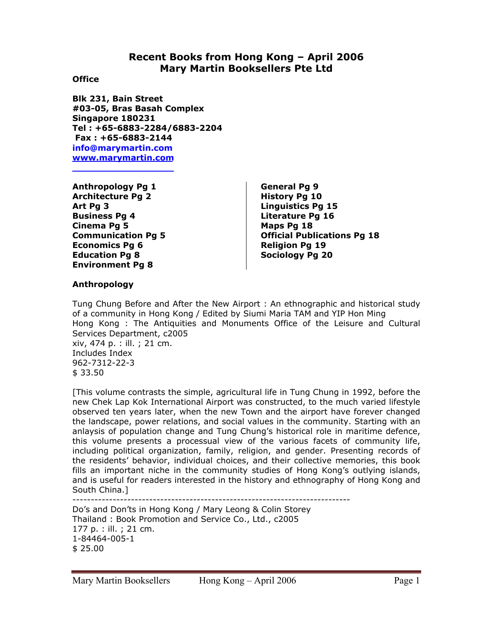## **Recent Books from Hong Kong – April 2006 Mary Martin Booksellers Pte Ltd**

#### **Office**

**Blk 231, Bain Street #03-05, Bras Basah Complex Singapore 180231 Tel : +65-6883-2284/6883-2204 Fax : +65-6883-2144 info@marymartin.com www.marymartin.com**

**Anthropology Pg 1 Architecture Pg 2 Art Pg 3 Business Pg 4 Cinema Pg 5 Communication Pg 5 Economics Pg 6 Education Pg 8 Environment Pg 8** 

**General Pg 9 History Pg 10 Linguistics Pg 15 Literature Pg 16 Maps Pg 18 Official Publications Pg 18 Religion Pg 19 Sociology Pg 20** 

## **Anthropology**

Tung Chung Before and After the New Airport : An ethnographic and historical study of a community in Hong Kong / Edited by Siumi Maria TAM and YIP Hon Ming Hong Kong : The Antiquities and Monuments Office of the Leisure and Cultural Services Department, c2005 xiv, 474 p. : ill. ; 21 cm. Includes Index 962-7312-22-3 \$ 33.50

[This volume contrasts the simple, agricultural life in Tung Chung in 1992, before the new Chek Lap Kok International Airport was constructed, to the much varied lifestyle observed ten years later, when the new Town and the airport have forever changed the landscape, power relations, and social values in the community. Starting with an anlaysis of population change and Tung Chung's historical role in maritime defence, this volume presents a processual view of the various facets of community life, including political organization, family, religion, and gender. Presenting records of the residents' behavior, individual choices, and their collective memories, this book fills an important niche in the community studies of Hong Kong's outlying islands, and is useful for readers interested in the history and ethnography of Hong Kong and South China.]

----------------------------------------------------------------------------

Do's and Don'ts in Hong Kong / Mary Leong & Colin Storey Thailand : Book Promotion and Service Co., Ltd., c2005 177 p. : ill. ; 21 cm. 1-84464-005-1 \$ 25.00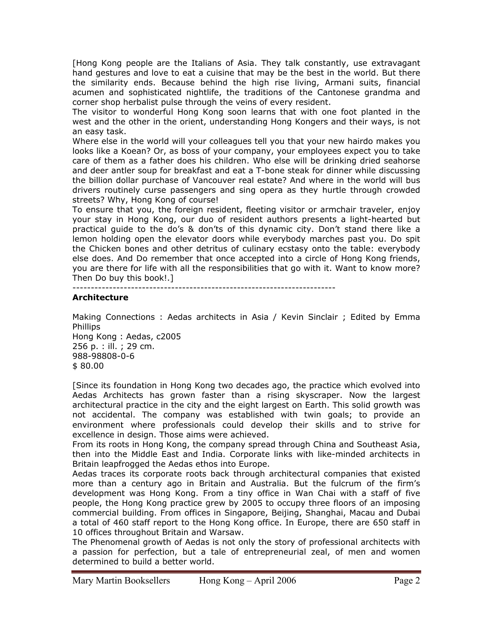[Hong Kong people are the Italians of Asia. They talk constantly, use extravagant hand gestures and love to eat a cuisine that may be the best in the world. But there the similarity ends. Because behind the high rise living, Armani suits, financial acumen and sophisticated nightlife, the traditions of the Cantonese grandma and corner shop herbalist pulse through the veins of every resident.

The visitor to wonderful Hong Kong soon learns that with one foot planted in the west and the other in the orient, understanding Hong Kongers and their ways, is not an easy task.

Where else in the world will your colleagues tell you that your new hairdo makes you looks like a Koean? Or, as boss of your company, your employees expect you to take care of them as a father does his children. Who else will be drinking dried seahorse and deer antler soup for breakfast and eat a T-bone steak for dinner while discussing the billion dollar purchase of Vancouver real estate? And where in the world will bus drivers routinely curse passengers and sing opera as they hurtle through crowded streets? Why, Hong Kong of course!

To ensure that you, the foreign resident, fleeting visitor or armchair traveler, enjoy your stay in Hong Kong, our duo of resident authors presents a light-hearted but practical guide to the do's & don'ts of this dynamic city. Don't stand there like a lemon holding open the elevator doors while everybody marches past you. Do spit the Chicken bones and other detritus of culinary ecstasy onto the table: everybody else does. And Do remember that once accepted into a circle of Hong Kong friends, you are there for life with all the responsibilities that go with it. Want to know more? Then Do buy this book!.]

------------------------------------------------------------------------

## **Architecture**

Making Connections : Aedas architects in Asia / Kevin Sinclair ; Edited by Emma Phillips Hong Kong : Aedas, c2005 256 p. : ill. ; 29 cm. 988-98808-0-6 \$ 80.00

[Since its foundation in Hong Kong two decades ago, the practice which evolved into Aedas Architects has grown faster than a rising skyscraper. Now the largest architectural practice in the city and the eight largest on Earth. This solid growth was not accidental. The company was established with twin goals; to provide an environment where professionals could develop their skills and to strive for excellence in design. Those aims were achieved.

From its roots in Hong Kong, the company spread through China and Southeast Asia, then into the Middle East and India. Corporate links with like-minded architects in Britain leapfrogged the Aedas ethos into Europe.

Aedas traces its corporate roots back through architectural companies that existed more than a century ago in Britain and Australia. But the fulcrum of the firm's development was Hong Kong. From a tiny office in Wan Chai with a staff of five people, the Hong Kong practice grew by 2005 to occupy three floors of an imposing commercial building. From offices in Singapore, Beijing, Shanghai, Macau and Dubai a total of 460 staff report to the Hong Kong office. In Europe, there are 650 staff in 10 offices throughout Britain and Warsaw.

The Phenomenal growth of Aedas is not only the story of professional architects with a passion for perfection, but a tale of entrepreneurial zeal, of men and women determined to build a better world.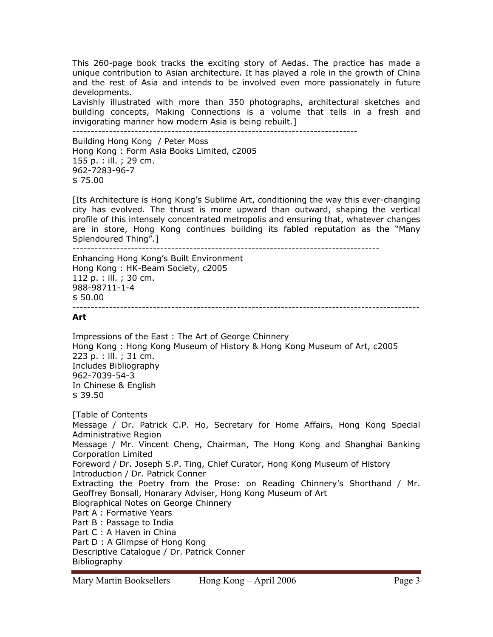This 260-page book tracks the exciting story of Aedas. The practice has made a unique contribution to Asian architecture. It has played a role in the growth of China and the rest of Asia and intends to be involved even more passionately in future developments.

Lavishly illustrated with more than 350 photographs, architectural sketches and building concepts, Making Connections is a volume that tells in a fresh and invigorating manner how modern Asia is being rebuilt.] ------------------------------------------------------------------------------

Building Hong Kong / Peter Moss Hong Kong : Form Asia Books Limited, c2005 155 p. : ill. ; 29 cm. 962-7283-96-7 \$ 75.00

[Its Architecture is Hong Kong's Sublime Art, conditioning the way this ever-changing city has evolved. The thrust is more upward than outward, shaping the vertical profile of this intensely concentrated metropolis and ensuring that, whatever changes are in store, Hong Kong continues building its fabled reputation as the "Many Splendoured Thing".]

------------------------------------------------------------------------------------

Enhancing Hong Kong's Built Environment Hong Kong : HK-Beam Society, c2005 112 p. : ill. ; 30 cm. 988-98711-1-4 \$ 50.00 -----------------------------------------------------------------------------------------------

## **Art**

Impressions of the East : The Art of George Chinnery Hong Kong : Hong Kong Museum of History & Hong Kong Museum of Art, c2005 223 p. : ill. ; 31 cm. Includes Bibliography 962-7039-54-3 In Chinese & English \$ 39.50

[Table of Contents Message / Dr. Patrick C.P. Ho, Secretary for Home Affairs, Hong Kong Special Administrative Region Message / Mr. Vincent Cheng, Chairman, The Hong Kong and Shanghai Banking Corporation Limited Foreword / Dr. Joseph S.P. Ting, Chief Curator, Hong Kong Museum of History Introduction / Dr. Patrick Conner Extracting the Poetry from the Prose: on Reading Chinnery's Shorthand / Mr. Geoffrey Bonsall, Honarary Adviser, Hong Kong Museum of Art Biographical Notes on George Chinnery Part A : Formative Years Part B : Passage to India Part C : A Haven in China Part D : A Glimpse of Hong Kong Descriptive Catalogue / Dr. Patrick Conner Bibliography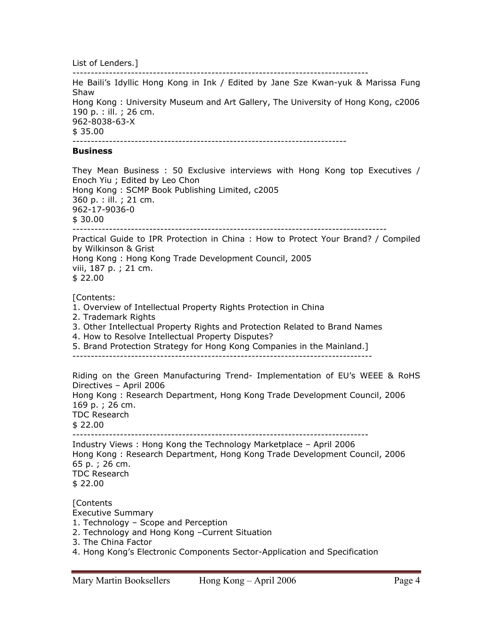List of Lenders.]

--------------------------------------------------------------------------------- He Baili's Idyllic Hong Kong in Ink / Edited by Jane Sze Kwan-yuk & Marissa Fung Shaw Hong Kong : University Museum and Art Gallery, The University of Hong Kong, c2006 190 p. : ill. ; 26 cm. 962-8038-63-X \$ 35.00 ---------------------------------------------------------------------------

#### **Business**

They Mean Business : 50 Exclusive interviews with Hong Kong top Executives / Enoch Yiu ; Edited by Leo Chon Hong Kong : SCMP Book Publishing Limited, c2005 360 p. : ill. ; 21 cm. 962-17-9036-0 \$ 30.00 -------------------------------------------------------------------------------------- Practical Guide to IPR Protection in China : How to Protect Your Brand? / Compiled by Wilkinson & Grist Hong Kong : Hong Kong Trade Development Council, 2005 viii, 187 p. ; 21 cm. \$ 22.00

#### [Contents:

- 1. Overview of Intellectual Property Rights Protection in China
- 2. Trademark Rights
- 3. Other Intellectual Property Rights and Protection Related to Brand Names
- 4. How to Resolve Intellectual Property Disputes?
- 5. Brand Protection Strategy for Hong Kong Companies in the Mainland.]
- ----------------------------------------------------------------------------------

Riding on the Green Manufacturing Trend- Implementation of EU's WEEE & RoHS Directives – April 2006 Hong Kong : Research Department, Hong Kong Trade Development Council, 2006 169 p. ; 26 cm. TDC Research \$ 22.00 --------------------------------------------------------------------------------- Industry Views : Hong Kong the Technology Marketplace – April 2006 Hong Kong : Research Department, Hong Kong Trade Development Council, 2006 65 p. ; 26 cm. TDC Research \$ 22.00

**[Contents** Executive Summary 1. Technology – Scope and Perception 2. Technology and Hong Kong –Current Situation 3. The China Factor 4. Hong Kong's Electronic Components Sector-Application and Specification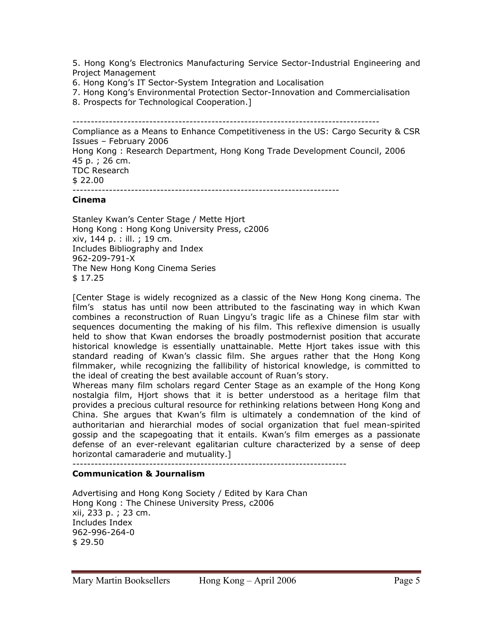5. Hong Kong's Electronics Manufacturing Service Sector-Industrial Engineering and Project Management

- 6. Hong Kong's IT Sector-System Integration and Localisation
- 7. Hong Kong's Environmental Protection Sector-Innovation and Commercialisation
- 8. Prospects for Technological Cooperation.]

------------------------------------------------------------------------------------

Compliance as a Means to Enhance Competitiveness in the US: Cargo Security & CSR Issues – February 2006 Hong Kong : Research Department, Hong Kong Trade Development Council, 2006 45 p. ; 26 cm. TDC Research \$ 22.00 -------------------------------------------------------------------------

#### **Cinema**

Stanley Kwan's Center Stage / Mette Hjort Hong Kong : Hong Kong University Press, c2006 xiv, 144 p. : ill. ; 19 cm. Includes Bibliography and Index 962-209-791-X The New Hong Kong Cinema Series \$ 17.25

[Center Stage is widely recognized as a classic of the New Hong Kong cinema. The film's status has until now been attributed to the fascinating way in which Kwan combines a reconstruction of Ruan Lingyu's tragic life as a Chinese film star with sequences documenting the making of his film. This reflexive dimension is usually held to show that Kwan endorses the broadly postmodernist position that accurate historical knowledge is essentially unattainable. Mette Hjort takes issue with this standard reading of Kwan's classic film. She argues rather that the Hong Kong filmmaker, while recognizing the fallibility of historical knowledge, is committed to the ideal of creating the best available account of Ruan's story.

Whereas many film scholars regard Center Stage as an example of the Hong Kong nostalgia film, Hjort shows that it is better understood as a heritage film that provides a precious cultural resource for rethinking relations between Hong Kong and China. She argues that Kwan's film is ultimately a condemnation of the kind of authoritarian and hierarchial modes of social organization that fuel mean-spirited gossip and the scapegoating that it entails. Kwan's film emerges as a passionate defense of an ever-relevant egalitarian culture characterized by a sense of deep horizontal camaraderie and mutuality.]

---------------------------------------------------------------------------

## **Communication & Journalism**

Advertising and Hong Kong Society / Edited by Kara Chan Hong Kong : The Chinese University Press, c2006 xii, 233 p. ; 23 cm. Includes Index 962-996-264-0 \$ 29.50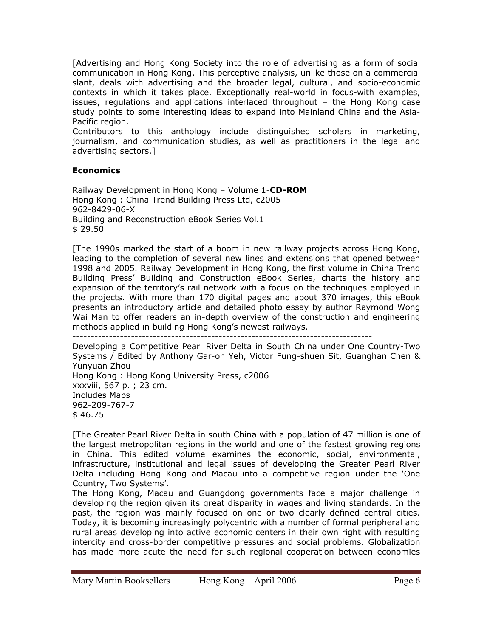[Advertising and Hong Kong Society into the role of advertising as a form of social communication in Hong Kong. This perceptive analysis, unlike those on a commercial slant, deals with advertising and the broader legal, cultural, and socio-economic contexts in which it takes place. Exceptionally real-world in focus-with examples, issues, regulations and applications interlaced throughout – the Hong Kong case study points to some interesting ideas to expand into Mainland China and the Asia-Pacific region.

Contributors to this anthology include distinguished scholars in marketing, journalism, and communication studies, as well as practitioners in the legal and advertising sectors.]

---------------------------------------------------------------------------

#### **Economics**

Railway Development in Hong Kong – Volume 1-**CD-ROM**  Hong Kong : China Trend Building Press Ltd, c2005 962-8429-06-X Building and Reconstruction eBook Series Vol.1 \$ 29.50

[The 1990s marked the start of a boom in new railway projects across Hong Kong, leading to the completion of several new lines and extensions that opened between 1998 and 2005. Railway Development in Hong Kong, the first volume in China Trend Building Press' Building and Construction eBook Series, charts the history and expansion of the territory's rail network with a focus on the techniques employed in the projects. With more than 170 digital pages and about 370 images, this eBook presents an introductory article and detailed photo essay by author Raymond Wong Wai Man to offer readers an in-depth overview of the construction and engineering methods applied in building Hong Kong's newest railways.

----------------------------------------------------------------------------------

Developing a Competitive Pearl River Delta in South China under One Country-Two Systems / Edited by Anthony Gar-on Yeh, Victor Fung-shuen Sit, Guanghan Chen & Yunyuan Zhou Hong Kong : Hong Kong University Press, c2006 xxxviii, 567 p. ; 23 cm. Includes Maps 962-209-767-7 \$ 46.75

[The Greater Pearl River Delta in south China with a population of 47 million is one of the largest metropolitan regions in the world and one of the fastest growing regions in China. This edited volume examines the economic, social, environmental, infrastructure, institutional and legal issues of developing the Greater Pearl River Delta including Hong Kong and Macau into a competitive region under the 'One Country, Two Systems'.

The Hong Kong, Macau and Guangdong governments face a major challenge in developing the region given its great disparity in wages and living standards. In the past, the region was mainly focused on one or two clearly defined central cities. Today, it is becoming increasingly polycentric with a number of formal peripheral and rural areas developing into active economic centers in their own right with resulting intercity and cross-border competitive pressures and social problems. Globalization has made more acute the need for such regional cooperation between economies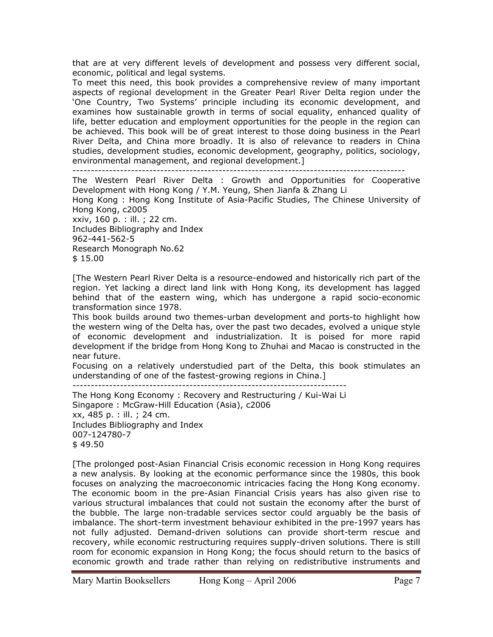that are at very different levels of development and possess very different social, economic, political and legal systems.

To meet this need, this book provides a comprehensive review of many important aspects of regional development in the Greater Pearl River Delta region under the 'One Country, Two Systems' principle including its economic development, and examines how sustainable growth in terms of social equality, enhanced quality of life, better education and employment opportunities for the people in the region can be achieved. This book will be of great interest to those doing business in the Pearl River Delta, and China more broadly. It is also of relevance to readers in China studies, development studies, economic development, geography, politics, sociology, environmental management, and regional development.]

-------------------------------------------------------------------------------------------

The Western Pearl River Delta : Growth and Opportunities for Cooperative Development with Hong Kong / Y.M. Yeung, Shen Jianfa & Zhang Li Hong Kong : Hong Kong Institute of Asia-Pacific Studies, The Chinese University of Hong Kong, c2005 xxiv, 160 p. : ill. ; 22 cm. Includes Bibliography and Index 962-441-562-5 Research Monograph No.62 \$ 15.00

[The Western Pearl River Delta is a resource-endowed and historically rich part of the region. Yet lacking a direct land link with Hong Kong, its development has lagged behind that of the eastern wing, which has undergone a rapid socio-economic transformation since 1978.

This book builds around two themes-urban development and ports-to highlight how the western wing of the Delta has, over the past two decades, evolved a unique style of economic development and industrialization. It is poised for more rapid development if the bridge from Hong Kong to Zhuhai and Macao is constructed in the near future.

Focusing on a relatively understudied part of the Delta, this book stimulates an understanding of one of the fastest-growing regions in China.]

---------------------------------------------------------------------------

The Hong Kong Economy : Recovery and Restructuring / Kui-Wai Li Singapore : McGraw-Hill Education (Asia), c2006 xx, 485 p. : ill. ; 24 cm. Includes Bibliography and Index 007-124780-7 \$ 49.50

[The prolonged post-Asian Financial Crisis economic recession in Hong Kong requires a new analysis. By looking at the economic performance since the 1980s, this book focuses on analyzing the macroeconomic intricacies facing the Hong Kong economy. The economic boom in the pre-Asian Financial Crisis years has also given rise to various structural imbalances that could not sustain the economy after the burst of the bubble. The large non-tradable services sector could arguably be the basis of imbalance. The short-term investment behaviour exhibited in the pre-1997 years has not fully adjusted. Demand-driven solutions can provide short-term rescue and recovery, while economic restructuring requires supply-driven solutions. There is still room for economic expansion in Hong Kong; the focus should return to the basics of economic growth and trade rather than relying on redistributive instruments and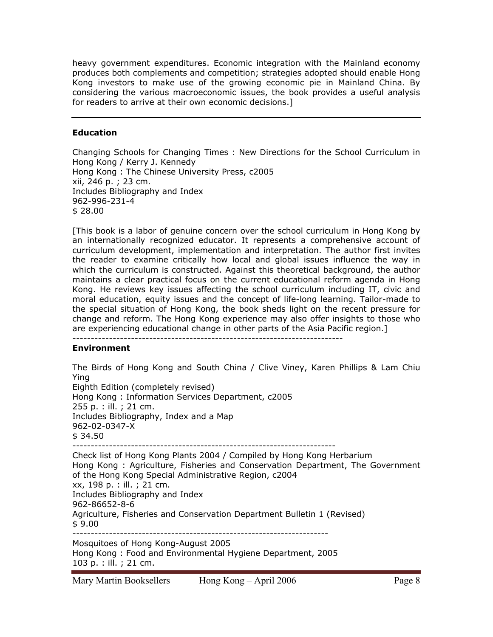heavy government expenditures. Economic integration with the Mainland economy produces both complements and competition; strategies adopted should enable Hong Kong investors to make use of the growing economic pie in Mainland China. By considering the various macroeconomic issues, the book provides a useful analysis for readers to arrive at their own economic decisions.]

## **Education**

Changing Schools for Changing Times : New Directions for the School Curriculum in Hong Kong / Kerry J. Kennedy Hong Kong : The Chinese University Press, c2005 xii, 246 p. ; 23 cm. Includes Bibliography and Index 962-996-231-4 \$ 28.00

[This book is a labor of genuine concern over the school curriculum in Hong Kong by an internationally recognized educator. It represents a comprehensive account of curriculum development, implementation and interpretation. The author first invites the reader to examine critically how local and global issues influence the way in which the curriculum is constructed. Against this theoretical background, the author maintains a clear practical focus on the current educational reform agenda in Hong Kong. He reviews key issues affecting the school curriculum including IT, civic and moral education, equity issues and the concept of life-long learning. Tailor-made to the special situation of Hong Kong, the book sheds light on the recent pressure for change and reform. The Hong Kong experience may also offer insights to those who are experiencing educational change in other parts of the Asia Pacific region.]

# --------------------------------------------------------------------------

## **Environment**

The Birds of Hong Kong and South China / Clive Viney, Karen Phillips & Lam Chiu Ying Eighth Edition (completely revised) Hong Kong : Information Services Department, c2005 255 p. : ill. ; 21 cm. Includes Bibliography, Index and a Map 962-02-0347-X  $$34.50$ ------------------------------------------------------------------------ Check list of Hong Kong Plants 2004 / Compiled by Hong Kong Herbarium Hong Kong : Agriculture, Fisheries and Conservation Department, The Government of the Hong Kong Special Administrative Region, c2004 xx, 198 p. : ill. ; 21 cm. Includes Bibliography and Index 962-86652-8-6 Agriculture, Fisheries and Conservation Department Bulletin 1 (Revised) \$ 9.00 ---------------------------------------------------------------------- Mosquitoes of Hong Kong-August 2005 Hong Kong : Food and Environmental Hygiene Department, 2005 103 p. : ill. ; 21 cm.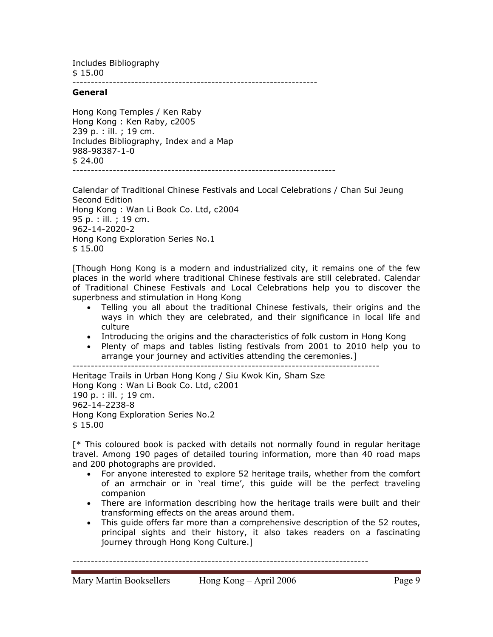Includes Bibliography \$ 15.00

-------------------------------------------------------------------

#### **General**

Hong Kong Temples / Ken Raby Hong Kong : Ken Raby, c2005 239 p. : ill. ; 19 cm. Includes Bibliography, Index and a Map 988-98387-1-0  $$24.00$ ------------------------------------------------------------------------

Calendar of Traditional Chinese Festivals and Local Celebrations / Chan Sui Jeung Second Edition Hong Kong : Wan Li Book Co. Ltd, c2004 95 p. : ill. ; 19 cm. 962-14-2020-2 Hong Kong Exploration Series No.1 \$ 15.00

[Though Hong Kong is a modern and industrialized city, it remains one of the few places in the world where traditional Chinese festivals are still celebrated. Calendar of Traditional Chinese Festivals and Local Celebrations help you to discover the superbness and stimulation in Hong Kong

- Telling you all about the traditional Chinese festivals, their origins and the ways in which they are celebrated, and their significance in local life and culture
- Introducing the origins and the characteristics of folk custom in Hong Kong
- Plenty of maps and tables listing festivals from 2001 to 2010 help you to arrange your journey and activities attending the ceremonies.]

------------------------------------------------------------------------------------

Heritage Trails in Urban Hong Kong / Siu Kwok Kin, Sham Sze Hong Kong : Wan Li Book Co. Ltd, c2001 190 p. : ill. ; 19 cm. 962-14-2238-8 Hong Kong Exploration Series No.2 \$ 15.00

[\* This coloured book is packed with details not normally found in regular heritage travel. Among 190 pages of detailed touring information, more than 40 road maps and 200 photographs are provided.

- For anyone interested to explore 52 heritage trails, whether from the comfort of an armchair or in 'real time', this guide will be the perfect traveling companion
- There are information describing how the heritage trails were built and their transforming effects on the areas around them.
- This guide offers far more than a comprehensive description of the 52 routes, principal sights and their history, it also takes readers on a fascinating journey through Hong Kong Culture.]

---------------------------------------------------------------------------------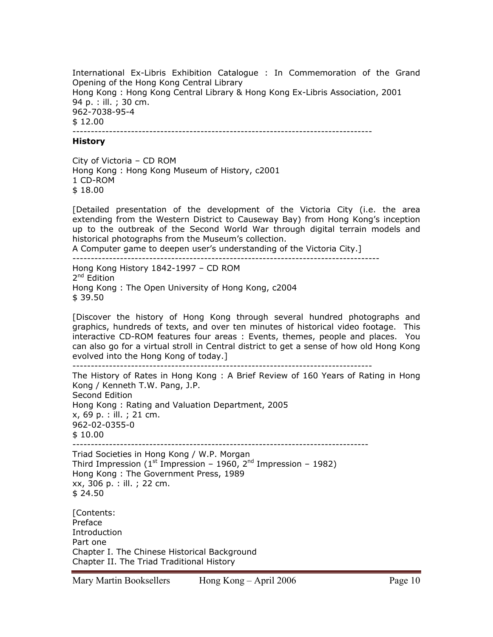International Ex-Libris Exhibition Catalogue : In Commemoration of the Grand Opening of the Hong Kong Central Library Hong Kong : Hong Kong Central Library & Hong Kong Ex-Libris Association, 2001 94 p. : ill. ; 30 cm. 962-7038-95-4 \$ 12.00 ----------------------------------------------------------------------------------

#### **History**

City of Victoria – CD ROM Hong Kong : Hong Kong Museum of History, c2001 1 CD-ROM \$ 18.00

[Detailed presentation of the development of the Victoria City (i.e. the area extending from the Western District to Causeway Bay) from Hong Kong's inception up to the outbreak of the Second World War through digital terrain models and historical photographs from the Museum's collection.

A Computer game to deepen user's understanding of the Victoria City.]

------------------------------------------------------------------------------------

Hong Kong History 1842-1997 – CD ROM 2<sup>nd</sup> Edition Hong Kong : The Open University of Hong Kong, c2004 \$ 39.50

[Discover the history of Hong Kong through several hundred photographs and graphics, hundreds of texts, and over ten minutes of historical video footage. This interactive CD-ROM features four areas : Events, themes, people and places. You can also go for a virtual stroll in Central district to get a sense of how old Hong Kong evolved into the Hong Kong of today.]

----------------------------------------------------------------------------------

The History of Rates in Hong Kong : A Brief Review of 160 Years of Rating in Hong Kong / Kenneth T.W. Pang, J.P. Second Edition Hong Kong : Rating and Valuation Department, 2005 x, 69 p. : ill. ; 21 cm. 962-02-0355-0 \$ 10.00 ---------------------------------------------------------------------------------

Triad Societies in Hong Kong / W.P. Morgan Third Impression (1<sup>st</sup> Impression – 1960, 2<sup>nd</sup> Impression – 1982) Hong Kong : The Government Press, 1989 xx, 306 p. : ill. ; 22 cm. \$ 24.50

[Contents: Preface **Introduction** Part one Chapter I. The Chinese Historical Background Chapter II. The Triad Traditional History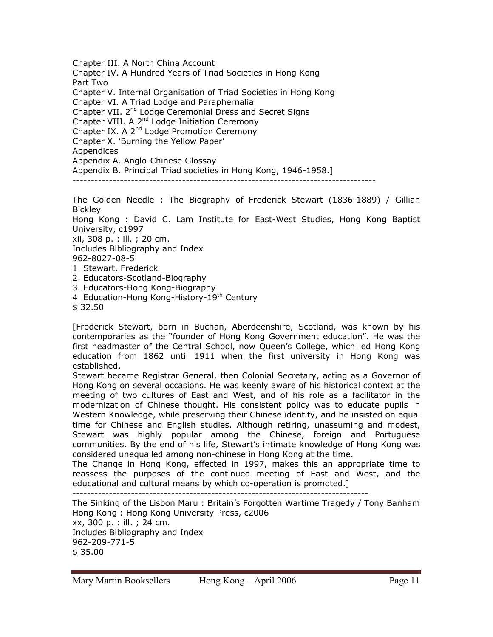Chapter III. A North China Account Chapter IV. A Hundred Years of Triad Societies in Hong Kong Part Two Chapter V. Internal Organisation of Triad Societies in Hong Kong Chapter VI. A Triad Lodge and Paraphernalia Chapter VII. 2<sup>nd</sup> Lodge Ceremonial Dress and Secret Signs Chapter VIII. A 2<sup>nd</sup> Lodge Initiation Ceremony Chapter IX. A 2<sup>nd</sup> Lodge Promotion Ceremony Chapter X. 'Burning the Yellow Paper' Appendices Appendix A. Anglo-Chinese Glossay

Appendix B. Principal Triad societies in Hong Kong, 1946-1958.]

-----------------------------------------------------------------------------------

The Golden Needle : The Biography of Frederick Stewart (1836-1889) / Gillian **Bickley** 

Hong Kong : David C. Lam Institute for East-West Studies, Hong Kong Baptist University, c1997

xii, 308 p. : ill. ; 20 cm. Includes Bibliography and Index

962-8027-08-5

- 
- 1. Stewart, Frederick
- 2. Educators-Scotland-Biography
- 3. Educators-Hong Kong-Biography
- 4. Education-Hong Kong-History-19<sup>th</sup> Century
- \$ 32.50

[Frederick Stewart, born in Buchan, Aberdeenshire, Scotland, was known by his contemporaries as the "founder of Hong Kong Government education". He was the first headmaster of the Central School, now Queen's College, which led Hong Kong education from 1862 until 1911 when the first university in Hong Kong was established.

Stewart became Registrar General, then Colonial Secretary, acting as a Governor of Hong Kong on several occasions. He was keenly aware of his historical context at the meeting of two cultures of East and West, and of his role as a facilitator in the modernization of Chinese thought. His consistent policy was to educate pupils in Western Knowledge, while preserving their Chinese identity, and he insisted on equal time for Chinese and English studies. Although retiring, unassuming and modest, Stewart was highly popular among the Chinese, foreign and Portuguese communities. By the end of his life, Stewart's intimate knowledge of Hong Kong was considered unequalled among non-chinese in Hong Kong at the time.

The Change in Hong Kong, effected in 1997, makes this an appropriate time to reassess the purposes of the continued meeting of East and West, and the educational and cultural means by which co-operation is promoted.]

---------------------------------------------------------------------------------

The Sinking of the Lisbon Maru : Britain's Forgotten Wartime Tragedy / Tony Banham Hong Kong : Hong Kong University Press, c2006 xx, 300 p. : ill. ; 24 cm.

Includes Bibliography and Index 962-209-771-5 \$ 35.00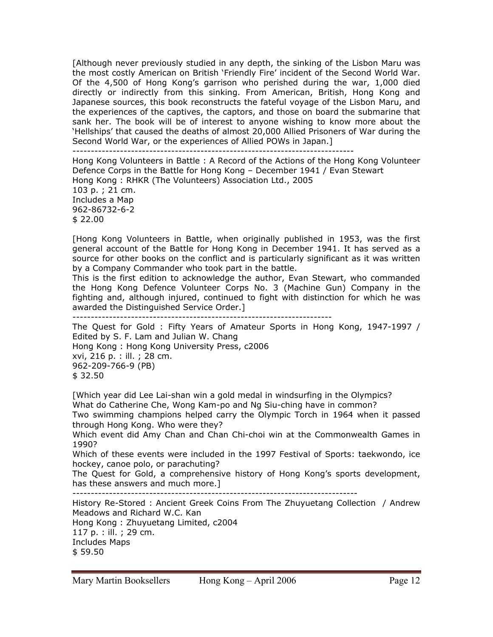[Although never previously studied in any depth, the sinking of the Lisbon Maru was the most costly American on British 'Friendly Fire' incident of the Second World War. Of the 4,500 of Hong Kong's garrison who perished during the war, 1,000 died directly or indirectly from this sinking. From American, British, Hong Kong and Japanese sources, this book reconstructs the fateful voyage of the Lisbon Maru, and the experiences of the captives, the captors, and those on board the submarine that sank her. The book will be of interest to anyone wishing to know more about the 'Hellships' that caused the deaths of almost 20,000 Allied Prisoners of War during the Second World War, or the experiences of Allied POWs in Japan.]

-----------------------------------------------------------------------------

Hong Kong Volunteers in Battle : A Record of the Actions of the Hong Kong Volunteer Defence Corps in the Battle for Hong Kong – December 1941 / Evan Stewart Hong Kong : RHKR (The Volunteers) Association Ltd., 2005 103 p. ; 21 cm. Includes a Map 962-86732-6-2 \$ 22.00

[Hong Kong Volunteers in Battle, when originally published in 1953, was the first general account of the Battle for Hong Kong in December 1941. It has served as a source for other books on the conflict and is particularly significant as it was written by a Company Commander who took part in the battle.

This is the first edition to acknowledge the author, Evan Stewart, who commanded the Hong Kong Defence Volunteer Corps No. 3 (Machine Gun) Company in the fighting and, although injured, continued to fight with distinction for which he was awarded the Distinguished Service Order.]

----------------------------------------------------------------------- The Quest for Gold : Fifty Years of Amateur Sports in Hong Kong, 1947-1997 / Edited by S. F. Lam and Julian W. Chang Hong Kong : Hong Kong University Press, c2006 xvi, 216 p. : ill. ; 28 cm. 962-209-766-9 (PB) \$ 32.50

[Which year did Lee Lai-shan win a gold medal in windsurfing in the Olympics? What do Catherine Che, Wong Kam-po and Ng Siu-ching have in common? Two swimming champions helped carry the Olympic Torch in 1964 when it passed

through Hong Kong. Who were they?

Which event did Amy Chan and Chan Chi-choi win at the Commonwealth Games in 1990?

Which of these events were included in the 1997 Festival of Sports: taekwondo, ice hockey, canoe polo, or parachuting?

The Quest for Gold, a comprehensive history of Hong Kong's sports development, has these answers and much more.]

------------------------------------------------------------------------------

History Re-Stored : Ancient Greek Coins From The Zhuyuetang Collection / Andrew Meadows and Richard W.C. Kan

Hong Kong : Zhuyuetang Limited, c2004 117 p. : ill. ; 29 cm. Includes Maps

\$ 59.50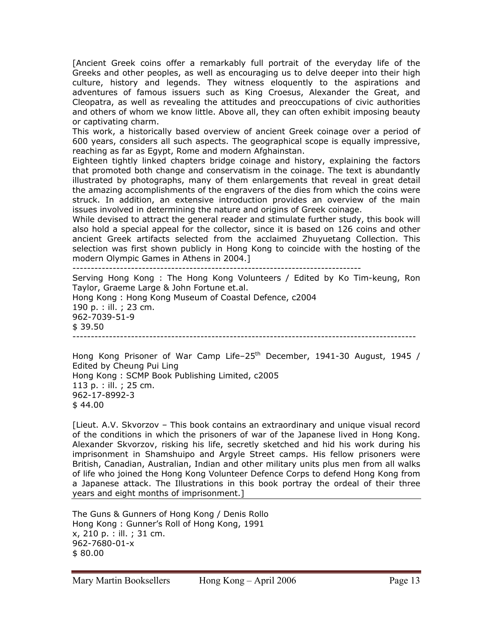[Ancient Greek coins offer a remarkably full portrait of the everyday life of the Greeks and other peoples, as well as encouraging us to delve deeper into their high culture, history and legends. They witness eloquently to the aspirations and adventures of famous issuers such as King Croesus, Alexander the Great, and Cleopatra, as well as revealing the attitudes and preoccupations of civic authorities and others of whom we know little. Above all, they can often exhibit imposing beauty or captivating charm.

This work, a historically based overview of ancient Greek coinage over a period of 600 years, considers all such aspects. The geographical scope is equally impressive, reaching as far as Egypt, Rome and modern Afghainstan.

Eighteen tightly linked chapters bridge coinage and history, explaining the factors that promoted both change and conservatism in the coinage. The text is abundantly illustrated by photographs, many of them enlargements that reveal in great detail the amazing accomplishments of the engravers of the dies from which the coins were struck. In addition, an extensive introduction provides an overview of the main issues involved in determining the nature and origins of Greek coinage.

While devised to attract the general reader and stimulate further study, this book will also hold a special appeal for the collector, since it is based on 126 coins and other ancient Greek artifacts selected from the acclaimed Zhuyuetang Collection. This selection was first shown publicly in Hong Kong to coincide with the hosting of the modern Olympic Games in Athens in 2004.]

-------------------------------------------------------------------------------

Serving Hong Kong : The Hong Kong Volunteers / Edited by Ko Tim-keung, Ron Taylor, Graeme Large & John Fortune et.al. Hong Kong : Hong Kong Museum of Coastal Defence, c2004 190 p. : ill. ; 23 cm. 962-7039-51-9 \$ 39.50 ----------------------------------------------------------------------------------------------

Hong Kong Prisoner of War Camp Life–25<sup>th</sup> December, 1941-30 August, 1945 / Edited by Cheung Pui Ling Hong Kong : SCMP Book Publishing Limited, c2005 113 p. : ill. ; 25 cm. 962-17-8992-3 \$ 44.00

[Lieut. A.V. Skvorzov – This book contains an extraordinary and unique visual record of the conditions in which the prisoners of war of the Japanese lived in Hong Kong. Alexander Skvorzov, risking his life, secretly sketched and hid his work during his imprisonment in Shamshuipo and Argyle Street camps. His fellow prisoners were British, Canadian, Australian, Indian and other military units plus men from all walks of life who joined the Hong Kong Volunteer Defence Corps to defend Hong Kong from a Japanese attack. The Illustrations in this book portray the ordeal of their three years and eight months of imprisonment.]

The Guns & Gunners of Hong Kong / Denis Rollo Hong Kong : Gunner's Roll of Hong Kong, 1991 x, 210 p. : ill. ; 31 cm. 962-7680-01-x \$ 80.00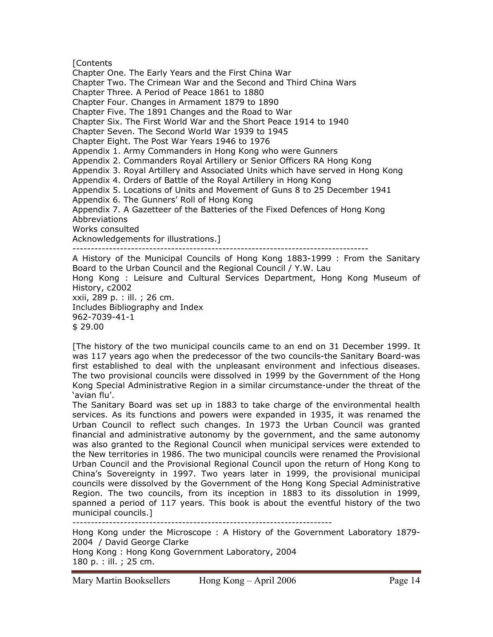**[Contents** 

Chapter One. The Early Years and the First China War Chapter Two. The Crimean War and the Second and Third China Wars Chapter Three. A Period of Peace 1861 to 1880 Chapter Four. Changes in Armament 1879 to 1890 Chapter Five. The 1891 Changes and the Road to War Chapter Six. The First World War and the Short Peace 1914 to 1940 Chapter Seven. The Second World War 1939 to 1945 Chapter Eight. The Post War Years 1946 to 1976 Appendix 1. Army Commanders in Hong Kong who were Gunners Appendix 2. Commanders Royal Artillery or Senior Officers RA Hong Kong Appendix 3. Royal Artillery and Associated Units which have served in Hong Kong Appendix 4. Orders of Battle of the Royal Artillery in Hong Kong Appendix 5. Locations of Units and Movement of Guns 8 to 25 December 1941 Appendix 6. The Gunners' Roll of Hong Kong Appendix 7. A Gazetteer of the Batteries of the Fixed Defences of Hong Kong Abbreviations Works consulted Acknowledgements for illustrations.] --------------------------------------------------------------------------------- A History of the Municipal Councils of Hong Kong 1883-1999 : From the Sanitary Board to the Urban Council and the Regional Council / Y.W. Lau Hong Kong : Leisure and Cultural Services Department, Hong Kong Museum of History, c2002

xxii, 289 p. : ill. ; 26 cm. Includes Bibliography and Index 962-7039-41-1 \$ 29.00

[The history of the two municipal councils came to an end on 31 December 1999. It was 117 years ago when the predecessor of the two councils-the Sanitary Board-was first established to deal with the unpleasant environment and infectious diseases. The two provisional councils were dissolved in 1999 by the Government of the Hong Kong Special Administrative Region in a similar circumstance-under the threat of the 'avian flu'.

The Sanitary Board was set up in 1883 to take charge of the environmental health services. As its functions and powers were expanded in 1935, it was renamed the Urban Council to reflect such changes. In 1973 the Urban Council was granted financial and administrative autonomy by the government, and the same autonomy was also granted to the Regional Council when municipal services were extended to the New territories in 1986. The two municipal councils were renamed the Provisional Urban Council and the Provisional Regional Council upon the return of Hong Kong to China's Sovereignty in 1997. Two years later in 1999, the provisional municipal councils were dissolved by the Government of the Hong Kong Special Administrative Region. The two councils, from its inception in 1883 to its dissolution in 1999, spanned a period of 117 years. This book is about the eventful history of the two municipal councils.]

-----------------------------------------------------------------------

Hong Kong under the Microscope : A History of the Government Laboratory 1879- 2004 / David George Clarke

Hong Kong : Hong Kong Government Laboratory, 2004 180 p. : ill. ; 25 cm.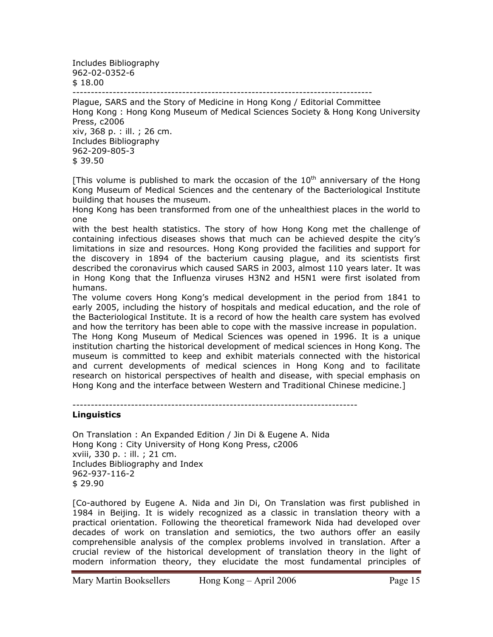Includes Bibliography 962-02-0352-6 \$ 18.00

----------------------------------------------------------------------------------

Plague, SARS and the Story of Medicine in Hong Kong / Editorial Committee Hong Kong : Hong Kong Museum of Medical Sciences Society & Hong Kong University Press, c2006 xiv, 368 p. : ill. ; 26 cm. Includes Bibliography 962-209-805-3

 $$39.50$ 

[This volume is published to mark the occasion of the  $10<sup>th</sup>$  anniversary of the Hong Kong Museum of Medical Sciences and the centenary of the Bacteriological Institute building that houses the museum.

Hong Kong has been transformed from one of the unhealthiest places in the world to one

with the best health statistics. The story of how Hong Kong met the challenge of containing infectious diseases shows that much can be achieved despite the city's limitations in size and resources. Hong Kong provided the facilities and support for the discovery in 1894 of the bacterium causing plague, and its scientists first described the coronavirus which caused SARS in 2003, almost 110 years later. It was in Hong Kong that the Influenza viruses H3N2 and H5N1 were first isolated from humans.

The volume covers Hong Kong's medical development in the period from 1841 to early 2005, including the history of hospitals and medical education, and the role of the Bacteriological Institute. It is a record of how the health care system has evolved and how the territory has been able to cope with the massive increase in population. The Hong Kong Museum of Medical Sciences was opened in 1996. It is a unique

institution charting the historical development of medical sciences in Hong Kong. The museum is committed to keep and exhibit materials connected with the historical and current developments of medical sciences in Hong Kong and to facilitate research on historical perspectives of health and disease, with special emphasis on Hong Kong and the interface between Western and Traditional Chinese medicine.]

------------------------------------------------------------------------------

## **Linguistics**

On Translation : An Expanded Edition / Jin Di & Eugene A. Nida Hong Kong : City University of Hong Kong Press, c2006 xviii, 330 p. : ill. ; 21 cm. Includes Bibliography and Index 962-937-116-2 \$ 29.90

[Co-authored by Eugene A. Nida and Jin Di, On Translation was first published in 1984 in Beijing. It is widely recognized as a classic in translation theory with a practical orientation. Following the theoretical framework Nida had developed over decades of work on translation and semiotics, the two authors offer an easily comprehensible analysis of the complex problems involved in translation. After a crucial review of the historical development of translation theory in the light of modern information theory, they elucidate the most fundamental principles of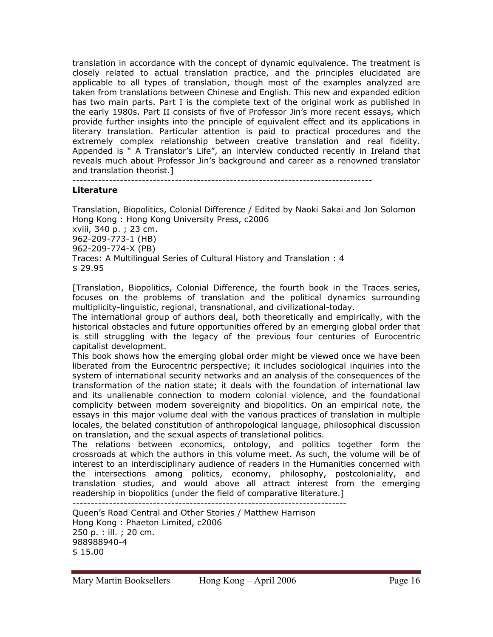translation in accordance with the concept of dynamic equivalence. The treatment is closely related to actual translation practice, and the principles elucidated are applicable to all types of translation, though most of the examples analyzed are taken from translations between Chinese and English. This new and expanded edition has two main parts. Part I is the complete text of the original work as published in the early 1980s. Part II consists of five of Professor Jin's more recent essays, which provide further insights into the principle of equivalent effect and its applications in literary translation. Particular attention is paid to practical procedures and the extremely complex relationship between creative translation and real fidelity. Appended is " A Translator's Life", an interview conducted recently in Ireland that reveals much about Professor Jin's background and career as a renowned translator and translation theorist.]

----------------------------------------------------------------------------------

## **Literature**

Translation, Biopolitics, Colonial Difference / Edited by Naoki Sakai and Jon Solomon Hong Kong : Hong Kong University Press, c2006 xviii, 340 p. ; 23 cm. 962-209-773-1 (HB) 962-209-774-X (PB) Traces: A Multilingual Series of Cultural History and Translation : 4 \$ 29.95

[Translation, Biopolitics, Colonial Difference, the fourth book in the Traces series, focuses on the problems of translation and the political dynamics surrounding multiplicity-linguistic, regional, transnational, and civilizational-today.

The international group of authors deal, both theoretically and empirically, with the historical obstacles and future opportunities offered by an emerging global order that is still struggling with the legacy of the previous four centuries of Eurocentric capitalist development.

This book shows how the emerging global order might be viewed once we have been liberated from the Eurocentric perspective; it includes sociological inquiries into the system of international security networks and an analysis of the consequences of the transformation of the nation state; it deals with the foundation of international law and its unalienable connection to modern colonial violence, and the foundational complicity between modern sovereignity and biopolitics. On an empirical note, the essays in this major volume deal with the various practices of translation in multiple locales, the belated constitution of anthropological language, philosophical discussion on translation, and the sexual aspects of translational politics.

The relations between economics, ontology, and politics together form the crossroads at which the authors in this volume meet. As such, the volume will be of interest to an interdisciplinary audience of readers in the Humanities concerned with the intersections among politics, economy, philosophy, postcoloniality, and translation studies, and would above all attract interest from the emerging readership in biopolitics (under the field of comparative literature.] ---------------------------------------------------------------------------

Queen's Road Central and Other Stories / Matthew Harrison Hong Kong : Phaeton Limited, c2006 250 p. : ill. ; 20 cm. 988988940-4 \$ 15.00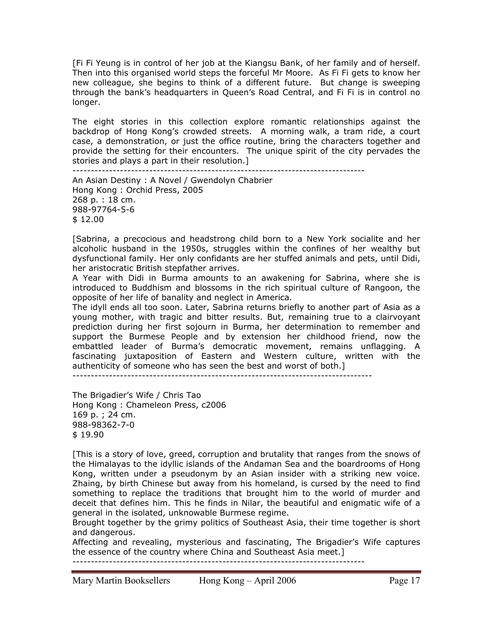[Fi Fi Yeung is in control of her job at the Kiangsu Bank, of her family and of herself. Then into this organised world steps the forceful Mr Moore. As Fi Fi gets to know her new colleague, she begins to think of a different future. But change is sweeping through the bank's headquarters in Queen's Road Central, and Fi Fi is in control no longer.

The eight stories in this collection explore romantic relationships against the backdrop of Hong Kong's crowded streets. A morning walk, a tram ride, a court case, a demonstration, or just the office routine, bring the characters together and provide the setting for their encounters. The unique spirit of the city pervades the stories and plays a part in their resolution.] --------------------------------------------------------------------------------

An Asian Destiny : A Novel / Gwendolyn Chabrier Hong Kong : Orchid Press, 2005 268 p. : 18 cm. 988-97764-5-6 \$ 12.00

[Sabrina, a precocious and headstrong child born to a New York socialite and her alcoholic husband in the 1950s, struggles within the confines of her wealthy but dysfunctional family. Her only confidants are her stuffed animals and pets, until Didi, her aristocratic British stepfather arrives.

A Year with Didi in Burma amounts to an awakening for Sabrina, where she is introduced to Buddhism and blossoms in the rich spiritual culture of Rangoon, the opposite of her life of banality and neglect in America.

The idyll ends all too soon. Later, Sabrina returns briefly to another part of Asia as a young mother, with tragic and bitter results. But, remaining true to a clairvoyant prediction during her first sojourn in Burma, her determination to remember and support the Burmese People and by extension her childhood friend, now the embattled leader of Burma's democratic movement, remains unflagging. A fascinating juxtaposition of Eastern and Western culture, written with the authenticity of someone who has seen the best and worst of both.]

The Brigadier's Wife / Chris Tao Hong Kong : Chameleon Press, c2006 169 p. ; 24 cm. 988-98362-7-0 \$ 19.90

[This is a story of love, greed, corruption and brutality that ranges from the snows of the Himalayas to the idyllic islands of the Andaman Sea and the boardrooms of Hong Kong, written under a pseudonym by an Asian insider with a striking new voice. Zhaing, by birth Chinese but away from his homeland, is cursed by the need to find something to replace the traditions that brought him to the world of murder and deceit that defines him. This he finds in Nilar, the beautiful and enigmatic wife of a general in the isolated, unknowable Burmese regime.

Brought together by the grimy politics of Southeast Asia, their time together is short and dangerous.

Affecting and revealing, mysterious and fascinating, The Brigadier's Wife captures the essence of the country where China and Southeast Asia meet.]

--------------------------------------------------------------------------------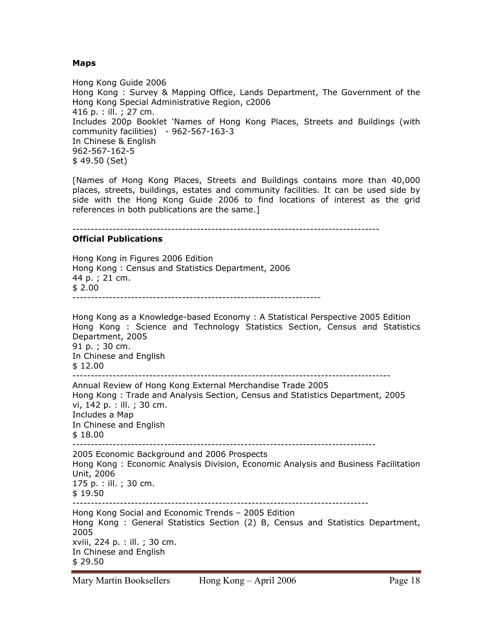#### **Maps**

Hong Kong Guide 2006 Hong Kong : Survey & Mapping Office, Lands Department, The Government of the Hong Kong Special Administrative Region, c2006 416 p. : ill. ; 27 cm. Includes 200p Booklet 'Names of Hong Kong Places, Streets and Buildings (with community facilities) - 962-567-163-3 In Chinese & English 962-567-162-5 \$ 49.50 (Set)

[Names of Hong Kong Places, Streets and Buildings contains more than 40,000 places, streets, buildings, estates and community facilities. It can be used side by side with the Hong Kong Guide 2006 to find locations of interest as the grid references in both publications are the same.]

------------------------------------------------------------------------------------

#### **Official Publications**

Hong Kong in Figures 2006 Edition Hong Kong : Census and Statistics Department, 2006 44 p. ; 21 cm. \$ 2.00 --------------------------------------------------------------------

Hong Kong as a Knowledge-based Economy : A Statistical Perspective 2005 Edition Hong Kong : Science and Technology Statistics Section, Census and Statistics Department, 2005 91 p. ; 30 cm. In Chinese and English \$ 12.00 --------------------------------------------------------------------------------------- Annual Review of Hong Kong External Merchandise Trade 2005 Hong Kong : Trade and Analysis Section, Census and Statistics Department, 2005 vi, 142 p. : ill. ; 30 cm. Includes a Map In Chinese and English \$ 18.00 ----------------------------------------------------------------------------------- 2005 Economic Background and 2006 Prospects Hong Kong : Economic Analysis Division, Economic Analysis and Business Facilitation Unit, 2006 175 p. : ill. ; 30 cm.  $$19.50$ --------------------------------------------------------------------------------- Hong Kong Social and Economic Trends – 2005 Edition Hong Kong : General Statistics Section (2) B, Census and Statistics Department, 2005 xviii, 224 p. : ill. ; 30 cm. In Chinese and English \$ 29.50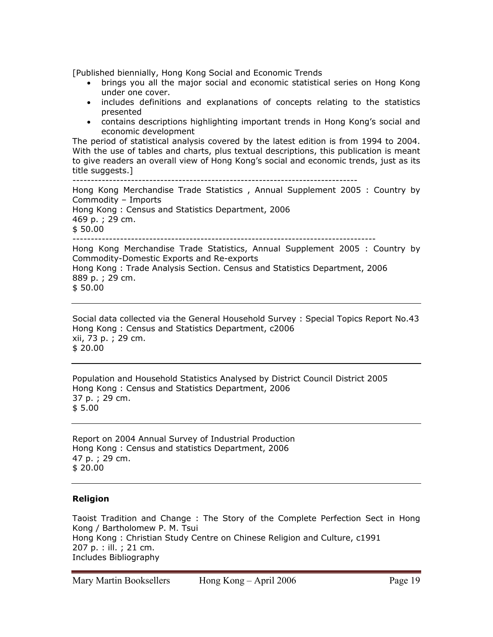[Published biennially, Hong Kong Social and Economic Trends

- brings you all the major social and economic statistical series on Hong Kong under one cover.
- includes definitions and explanations of concepts relating to the statistics presented
- contains descriptions highlighting important trends in Hong Kong's social and economic development

The period of statistical analysis covered by the latest edition is from 1994 to 2004. With the use of tables and charts, plus textual descriptions, this publication is meant to give readers an overall view of Hong Kong's social and economic trends, just as its title suggests.]

------------------------------------------------------------------------------ Hong Kong Merchandise Trade Statistics , Annual Supplement 2005 : Country by Commodity – Imports Hong Kong : Census and Statistics Department, 2006 469 p. ; 29 cm. \$ 50.00 ----------------------------------------------------------------------------------- Hong Kong Merchandise Trade Statistics, Annual Supplement 2005 : Country by Commodity-Domestic Exports and Re-exports Hong Kong : Trade Analysis Section. Census and Statistics Department, 2006 889 p. ; 29 cm. \$ 50.00

Social data collected via the General Household Survey : Special Topics Report No.43 Hong Kong : Census and Statistics Department, c2006 xii, 73 p. ; 29 cm. \$ 20.00

Population and Household Statistics Analysed by District Council District 2005 Hong Kong : Census and Statistics Department, 2006 37 p. ; 29 cm. \$ 5.00

Report on 2004 Annual Survey of Industrial Production Hong Kong : Census and statistics Department, 2006 47 p. ; 29 cm. \$ 20.00

## **Religion**

Taoist Tradition and Change : The Story of the Complete Perfection Sect in Hong Kong / Bartholomew P. M. Tsui Hong Kong : Christian Study Centre on Chinese Religion and Culture, c1991 207 p. : ill. ; 21 cm. Includes Bibliography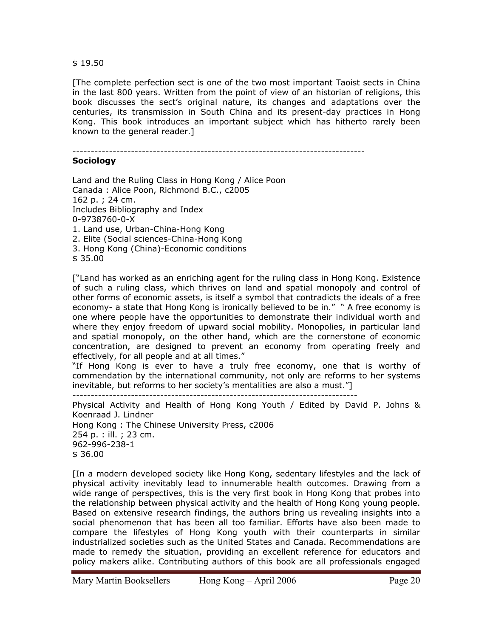#### \$ 19.50

[The complete perfection sect is one of the two most important Taoist sects in China in the last 800 years. Written from the point of view of an historian of religions, this book discusses the sect's original nature, its changes and adaptations over the centuries, its transmission in South China and its present-day practices in Hong Kong. This book introduces an important subject which has hitherto rarely been known to the general reader.]

--------------------------------------------------------------------------------

## **Sociology**

Land and the Ruling Class in Hong Kong / Alice Poon Canada : Alice Poon, Richmond B.C., c2005 162 p. ; 24 cm. Includes Bibliography and Index 0-9738760-0-X 1. Land use, Urban-China-Hong Kong 2. Elite (Social sciences-China-Hong Kong 3. Hong Kong (China)-Economic conditions

\$ 35.00

["Land has worked as an enriching agent for the ruling class in Hong Kong. Existence of such a ruling class, which thrives on land and spatial monopoly and control of other forms of economic assets, is itself a symbol that contradicts the ideals of a free economy- a state that Hong Kong is ironically believed to be in." " A free economy is one where people have the opportunities to demonstrate their individual worth and where they enjoy freedom of upward social mobility. Monopolies, in particular land and spatial monopoly, on the other hand, which are the cornerstone of economic concentration, are designed to prevent an economy from operating freely and effectively, for all people and at all times."

"If Hong Kong is ever to have a truly free economy, one that is worthy of commendation by the international community, not only are reforms to her systems inevitable, but reforms to her society's mentalities are also a must."]

------------------------------------------------------------------------------

Physical Activity and Health of Hong Kong Youth / Edited by David P. Johns & Koenraad J. Lindner Hong Kong : The Chinese University Press, c2006 254 p. : ill. ; 23 cm. 962-996-238-1 \$ 36.00

[In a modern developed society like Hong Kong, sedentary lifestyles and the lack of physical activity inevitably lead to innumerable health outcomes. Drawing from a wide range of perspectives, this is the very first book in Hong Kong that probes into the relationship between physical activity and the health of Hong Kong young people. Based on extensive research findings, the authors bring us revealing insights into a social phenomenon that has been all too familiar. Efforts have also been made to compare the lifestyles of Hong Kong youth with their counterparts in similar industrialized societies such as the United States and Canada. Recommendations are made to remedy the situation, providing an excellent reference for educators and policy makers alike. Contributing authors of this book are all professionals engaged